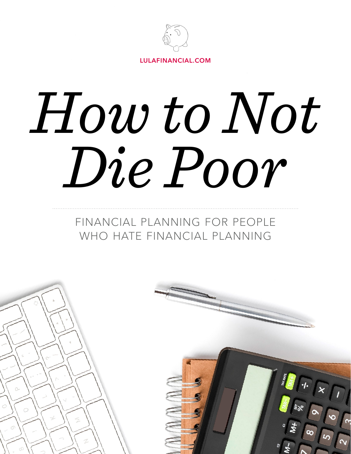

# *How to Not Die Poor*

## FINANCIAL PLANNING FOR PEOPLE WHO HATE FINANCIAL PLANNING

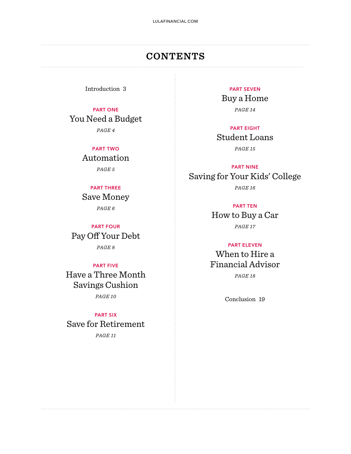## **CONTENTS**

Introduction 3

PART ONE You Need a Budget *PAGE 4*

> PART TWO Automation

> > *PAGE 5*

#### PART THREE

Save Money *PAGE 6*

PART FOUR Pay Off Your Debt *PAGE 8*

#### PART FIVE

Have a Three Month Savings Cushion *PAGE 10*

PART SIX Save for Retirement *PAGE 11*

PART SEVEN Buy a Home *PAGE 14*

#### PART EIGHT Student Loans *PAGE 15*

PART NINE Saving for Your Kids' College *PAGE 16*

PART TEN

How to Buy a Car *PAGE 17*

#### PART ELEVEN

When to Hire a Financial Advisor *PAGE 18*

Conclusion 19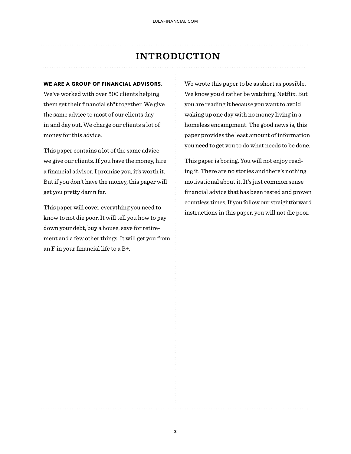## **INTRODUCTION**

#### **WE ARE A GROUP OF FINANCIAL ADVISORS.**

We've worked with over 500 clients helping them get their financial sh\*t together. We give the same advice to most of our clients day in and day out. We charge our clients a lot of money for this advice.

This paper contains a lot of the same advice we give our clients. If you have the money, hire a financial advisor. I promise you, it's worth it. But if you don't have the money, this paper will get you pretty damn far.

This paper will cover everything you need to know to not die poor. It will tell you how to pay down your debt, buy a house, save for retirement and a few other things. It will get you from an F in your financial life to a B+.

We wrote this paper to be as short as possible. We know you'd rather be watching Netflix. But you are reading it because you want to avoid waking up one day with no money living in a homeless encampment. The good news is, this paper provides the least amount of information you need to get you to do what needs to be done.

This paper is boring. You will not enjoy reading it. There are no stories and there's nothing motivational about it. It's just common sense financial advice that has been tested and proven countless times. If you follow our straightforward instructions in this paper, you will not die poor.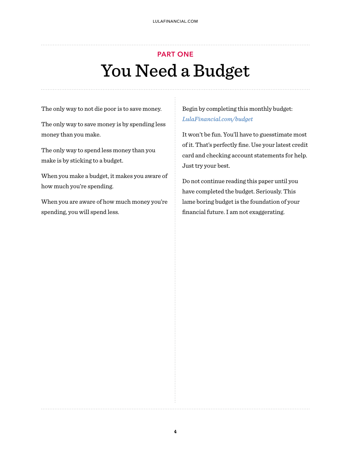# PART ONE You Need a Budget

The only way to not die poor is to save money.

The only way to save money is by spending less money than you make.

The only way to spend less money than you make is by sticking to a budget.

When you make a budget, it makes you aware of how much you're spending.

When you are aware of how much money you're spending, you will spend less.

Begin by completing this monthly budget: *[LulaFinancial.com/budget](https://www.lulafinancial.com/budget)*

It won't be fun. You'll have to guesstimate most of it. That's perfectly fine. Use your latest credit card and checking account statements for help. Just try your best.

Do not continue reading this paper until you have completed the budget. Seriously. This lame boring budget is the foundation of your financial future. I am not exaggerating.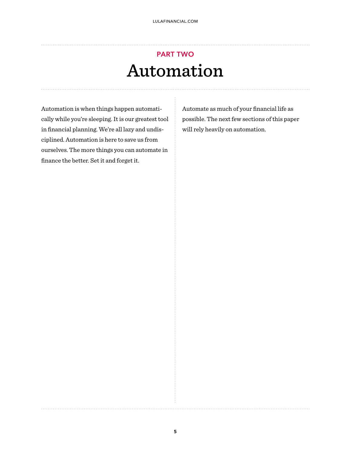## PART TWO Automation

Automation is when things happen automatically while you're sleeping. It is our greatest tool in financial planning. We're all lazy and undisciplined. Automation is here to save us from ourselves. The more things you can automate in finance the better. Set it and forget it.

Automate as much of your financial life as possible. The next few sections of this paper will rely heavily on automation.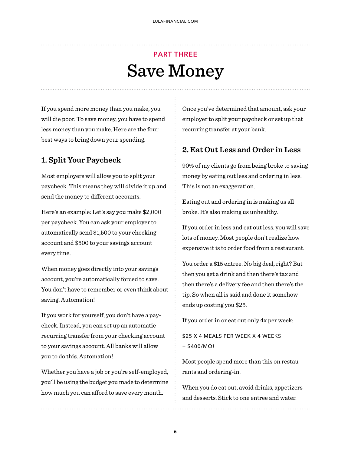## PART THREE Save Money

If you spend more money than you make, you will die poor. To save money, you have to spend less money than you make. Here are the four best ways to bring down your spending.

## **1. Split Your Paycheck**

Most employers will allow you to split your paycheck. This means they will divide it up and send the money to different accounts.

Here's an example: Let's say you make \$2,000 per paycheck. You can ask your employer to automatically send \$1,500 to your checking account and \$500 to your savings account every time.

When money goes directly into your savings account, you're automatically forced to save. You don't have to remember or even think about saving. Automation!

If you work for yourself, you don't have a paycheck. Instead, you can set up an automatic recurring transfer from your checking account to your savings account. All banks will allow you to do this. Automation!

Whether you have a job or you're self-employed, you'll be using the budget you made to determine how much you can afford to save every month.

Once you've determined that amount, ask your employer to split your paycheck or set up that recurring transfer at your bank.

#### **2. Eat Out Less and Order in Less**

90% of my clients go from being broke to saving money by eating out less and ordering in less. This is not an exaggeration.

Eating out and ordering in is making us all broke. It's also making us unhealthy.

If you order in less and eat out less, you will save lots of money. Most people don't realize how expensive it is to order food from a restaurant.

You order a \$15 entree. No big deal, right? But then you get a drink and then there's tax and then there's a delivery fee and then there's the tip. So when all is said and done it somehow ends up costing you \$25.

If you order in or eat out only 4x per week:

\$25 X 4 MEALS PER WEEK X 4 WEEKS  $= $400/MO!$ 

Most people spend more than this on restaurants and ordering-in.

When you do eat out, avoid drinks, appetizers and desserts. Stick to one entree and water.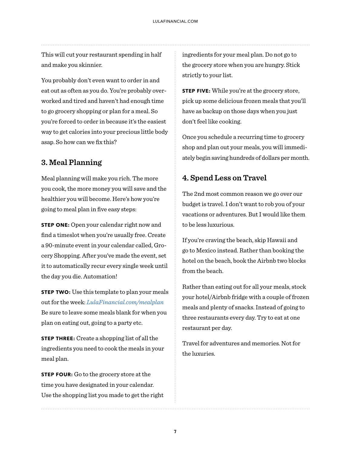This will cut your restaurant spending in half and make you skinnier.

You probably don't even want to order in and eat out as often as you do. You're probably overworked and tired and haven't had enough time to go grocery shopping or plan for a meal. So you're forced to order in because it's the easiest way to get calories into your precious little body asap. So how can we fix this?

#### **3. Meal Planning**

Meal planning will make you rich. The more you cook, the more money you will save and the healthier you will become. Here's how you're going to meal plan in five easy steps:

**STEP ONE:** Open your calendar right now and find a timeslot when you're usually free. Create a 90-minute event in your calendar called, Grocery Shopping. After you've made the event, set it to automatically recur every single week until the day you die. Automation!

**STEP TWO:** Use this template to plan your meals out for the week: *[LulaFinancial.com/mealplan](http://lulafinancial.com/mealplan)* Be sure to leave some meals blank for when you plan on eating out, going to a party etc.

**STEP THREE:** Create a shopping list of all the ingredients you need to cook the meals in your meal plan.

**STEP FOUR:** Go to the grocery store at the time you have designated in your calendar. Use the shopping list you made to get the right ingredients for your meal plan. Do not go to the grocery store when you are hungry. Stick strictly to your list.

**STEP FIVE:** While you're at the grocery store, pick up some delicious frozen meals that you'll have as backup on those days when you just don't feel like cooking.

Once you schedule a recurring time to grocery shop and plan out your meals, you will immediately begin saving hundreds of dollars per month.

## **4. Spend Less on Travel**

The 2nd most common reason we go over our budget is travel. I don't want to rob you of your vacations or adventures. But I would like them to be less luxurious.

If you're craving the beach, skip Hawaii and go to Mexico instead. Rather than booking the hotel on the beach, book the Airbnb two blocks from the beach.

Rather than eating out for all your meals, stock your hotel/Airbnb fridge with a couple of frozen meals and plenty of snacks. Instead of going to three restaurants every day. Try to eat at one restaurant per day.

Travel for adventures and memories. Not for the luxuries.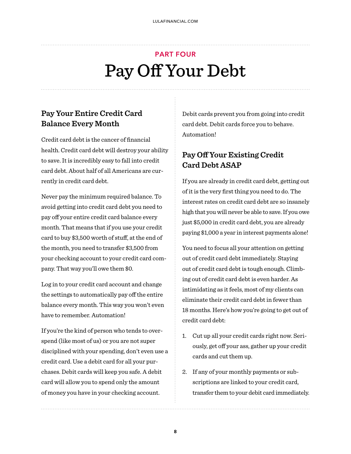# PART FOUR Pay Off Your Debt

## **Pay Your Entire Credit Card Balance Every Month**

Credit card debt is the cancer of financial health. Credit card debt will destroy your ability to save. It is incredibly easy to fall into credit card debt. About half of all Americans are currently in credit card debt.

Never pay the minimum required balance. To avoid getting into credit card debt you need to pay off your entire credit card balance every month. That means that if you use your credit card to buy \$3,500 worth of stuff, at the end of the month, you need to transfer \$3,500 from your checking account to your credit card company. That way you'll owe them \$0.

Log in to your credit card account and change the settings to automatically pay off the entire balance every month. This way you won't even have to remember. Automation!

If you're the kind of person who tends to overspend (like most of us) or you are not super disciplined with your spending, don't even use a credit card. Use a debit card for all your purchases. Debit cards will keep you safe. A debit card will allow you to spend only the amount of money you have in your checking account.

Debit cards prevent you from going into credit card debt. Debit cards force you to behave. Automation!

## **Pay O! Your Existing Credit Card Debt ASAP**

If you are already in credit card debt, getting out of it is the very first thing you need to do. The interest rates on credit card debt are so insanely high that you will never be able to save. If you owe just \$5,000 in credit card debt, you are already paying \$1,000 a year in interest payments alone!

You need to focus all your attention on getting out of credit card debt immediately. Staying out of credit card debt is tough enough. Climbing out of credit card debt is even harder. As intimidating as it feels, most of my clients can eliminate their credit card debt in fewer than 18 months. Here's how you're going to get out of credit card debt:

- 1. Cut up all your credit cards right now. Seriously, get off your ass, gather up your credit cards and cut them up.
- 2. If any of your monthly payments or subscriptions are linked to your credit card, transfer them to your debit card immediately.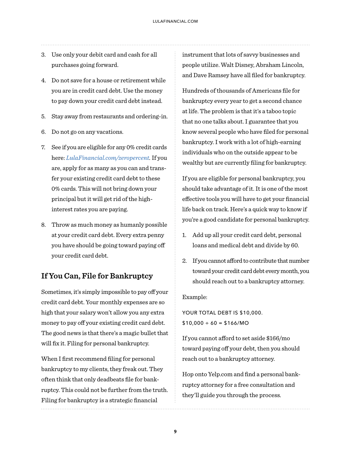- 3. Use only your debit card and cash for all purchases going forward.
- 4. Do not save for a house or retirement while you are in credit card debt. Use the money to pay down your credit card debt instead.
- 5. Stay away from restaurants and ordering-in.
- 6. Do not go on any vacations.
- 7. See if you are eligible for any 0% credit cards here: *[LulaFinancial.com/zeropercent](http://lulafinancial.com/zeropercent).* If you are, apply for as many as you can and transfer your existing credit card debt to these 0% cards. This will not bring down your principal but it will get rid of the highinterest rates you are paying.
- 8. Throw as much money as humanly possible at your credit card debt. Every extra penny you have should be going toward paying off your credit card debt.

## **If You Can, File for Bankruptcy**

Sometimes, it's simply impossible to pay off your credit card debt. Your monthly expenses are so high that your salary won't allow you any extra money to pay off your existing credit card debt. The good news is that there's a magic bullet that will fix it. Filing for personal bankruptcy.

When I first recommend filing for personal bankruptcy to my clients, they freak out. They often think that only deadbeats file for bankruptcy. This could not be further from the truth. Filing for bankruptcy is a strategic financial

instrument that lots of savvy businesses and people utilize. Walt Disney, Abraham Lincoln, and Dave Ramsey have all filed for bankruptcy.

Hundreds of thousands of Americans file for bankruptcy every year to get a second chance at life. The problem is that it's a taboo topic that no one talks about. I guarantee that you know several people who have filed for personal bankruptcy. I work with a lot of high-earning individuals who on the outside appear to be wealthy but are currently filing for bankruptcy.

If you are eligible for personal bankruptcy, you should take advantage of it. It is one of the most effective tools you will have to get your financial life back on track. Here's a quick way to know if you're a good candidate for personal bankruptcy.

- 1. Add up all your credit card debt, personal loans and medical debt and divide by 60.
- 2. If you cannot afford to contribute that number toward your credit card debt every month, you should reach out to a bankruptcy attorney.

Example:

YOUR TOTAL DEBT IS \$10,000.  $$10,000 \div 60 = $166/MO$ 

If you cannot afford to set aside  $$166/m$ o toward paying off your debt, then you should reach out to a bankruptcy attorney.

Hop onto Yelp.com and find a personal bankruptcy attorney for a free consultation and they'll guide you through the process.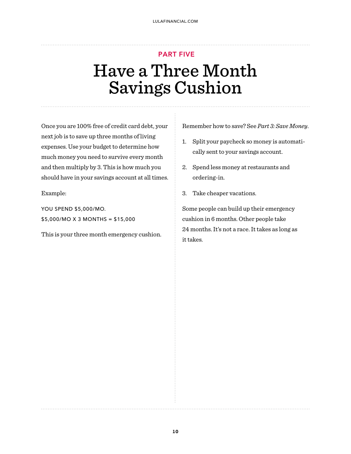# PART FIVE Have a Three Month Savings Cushion

Once you are 100% free of credit card debt, your next job is to save up three months of living expenses. Use your budget to determine how much money you need to survive every month and then multiply by 3. This is how much you should have in your savings account at all times.

Example:

YOU SPEND \$5,000/MO. \$5,000/MO X 3 MONTHS = \$15,000

This is your three month emergency cushion.

Remember how to save? See *Part 3: Save Money*.

- 1. Split your paycheck so money is automatically sent to your savings account.
- 2. Spend less money at restaurants and ordering-in.
- 3. Take cheaper vacations.

Some people can build up their emergency cushion in 6 months. Other people take 24 months. It's not a race. It takes as long as it takes.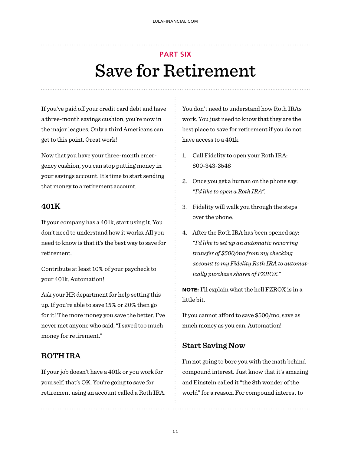# PART SIX Save for Retirement

If you've paid off your credit card debt and have a three-month savings cushion, you're now in the major leagues. Only a third Americans can get to this point. Great work!

Now that you have your three-month emergency cushion, you can stop putting money in your savings account. It's time to start sending that money to a retirement account.

#### **401K**

If your company has a 401k, start using it. You don't need to understand how it works. All you need to know is that it's the best way to save for retirement.

Contribute at least 10% of your paycheck to your 401k. Automation!

Ask your HR department for help setting this up. If you're able to save 15% or 20% then go for it! The more money you save the better. I've never met anyone who said, "I saved too much money for retirement."

#### **ROTH IRA**

If your job doesn't have a 401k or you work for yourself, that's OK. You're going to save for retirement using an account called a Roth IRA.

You don't need to understand how Roth IRAs work. You just need to know that they are the best place to save for retirement if you do not have access to a 401k.

- 1. Call Fidelity to open your Roth IRA: 800-343-3548
- 2. Once you get a human on the phone say: *"I'd like to open a Roth IRA".*
- 3. Fidelity will walk you through the steps over the phone.
- 4. After the Roth IRA has been opened say: *"I'd like to set up an automatic recurring transfer of \$500/mo from my checking account to my Fidelity Roth IRA to automatically purchase shares of FZROX."*

**NOTE:** I'll explain what the hell FZROX is in a little bit.

If you cannot afford to save  $$500/m$ o, save as much money as you can. Automation!

## **Start Saving Now**

I'm not going to bore you with the math behind compound interest. Just know that it's amazing and Einstein called it "the 8th wonder of the world" for a reason. For compound interest to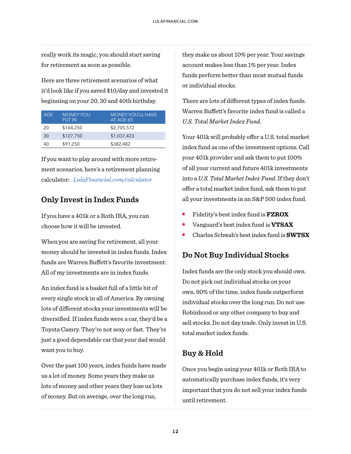really work its magic, you should start saving for retirement as soon as possible.

Here are three retirement scenarios of what it'd look like if you saved \$10/day and invested it beginning on your 20, 30 and 40th birthday.

| AGE | <b>MONEY YOU</b><br><b>PUT IN</b> | MONEY YOU'LL HAVE<br>AT AGE 65 |
|-----|-----------------------------------|--------------------------------|
| 20  | \$164,250                         | \$2,705,572                    |
| 30  | \$127,750                         | \$1,037,433                    |
| 40  | \$91,250                          | \$382,482                      |

If you want to play around with more retirement scenarios, here's a retirement planning calculator: *[LulaFinancial.com/calculator](http://lulafinancial.com/calculator)*

## **Only Invest in Index Funds**

If you have a 401k or a Roth IRA, you can choose how it will be invested.

When you are saving for retirement, all your money should be invested in index funds. Index funds are Warren Buffett's favorite investment. All of my investments are in index funds.

An index fund is a basket full of a little bit of every single stock in all of America. By owning lots of different stocks your investments will be diversified. If index funds were a car, they'd be a Toyota Camry. They're not sexy or fast. They're just a good dependable car that your dad would want you to buy.

Over the past 100 years, index funds have made us a lot of money. Some years they make us lots of money and other years they lose us lots of money. But on average, over the long run,

they make us about 10% per year. Your savings account makes less than 1% per year. Index funds perform better than most mutual funds or individual stocks.

There are lots of different types of index funds. Warren Buffett's favorite index fund is called a *U.S. Total Market Index Fund.* 

Your 401k will probably offer a U.S. total market index fund as one of the investment options. Call your 401k provider and ask them to put 100% of all your current and future 401k investments into a *U.S. Total Market Index Fund*. If they don't offer a total market index fund, ask them to put all your investments in an S&P 500 index fund.

- ! Fidelity's best index fund is **FZROX**
- ! Vanguard's best index fund is **VTSAX**
- ! Charles Schwab's best index fund is **SWTSX**

## **Do Not Buy Individual Stocks**

Index funds are the only stock you should own. Do not pick out individual stocks on your own. 90% of the time, index funds outperform individual stocks over the long run. Do not use Robinhood or any other company to buy and sell stocks. Do not day trade. Only invest in U.S. total market index funds.

## **Buy & Hold**

Once you begin using your 401k or Roth IRA to automatically purchase index funds, it's very important that you do not sell your index funds until retirement.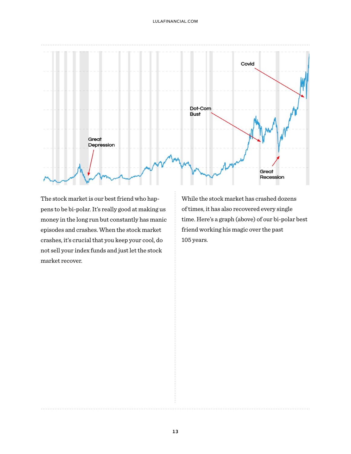

The stock market is our best friend who happens to be bi-polar. It's really good at making us money in the long run but constantly has manic episodes and crashes. When the stock market crashes, it's crucial that you keep your cool, do not sell your index funds and just let the stock market recover.

While the stock market has crashed dozens of times, it has also recovered every single time. Here's a graph (above) of our bi-polar best friend working his magic over the past 105 years.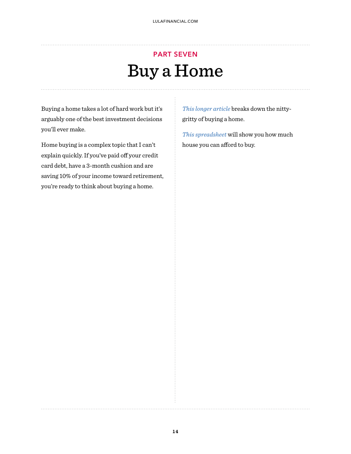# PART SEVEN Buy a Home

Buying a home takes a lot of hard work but it's arguably one of the best investment decisions you'll ever make.

Home buying is a complex topic that I can't explain quickly. If you've paid off your credit card debt, have a 3-month cushion and are saving 10% of your income toward retirement, you're ready to think about buying a home.

*[This longer article](https://medium.com/the-innovation/the-millennials-fairly-complete-guide-to-buying-a-home-7890511f6bb5)* breaks down the nittygritty of buying a home.

*[This spreadsheet](https://docs.google.com/spreadsheets/d/1to-Ww69e1r8-LQzd6QHSZYjwX33fXrOrgmwIBXZXwiM/edit?usp=sharing)* will show you how much house you can afford to buy.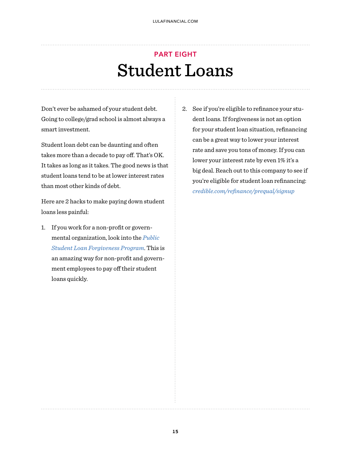## PART EIGHT Student Loans

Don't ever be ashamed of your student debt. Going to college/grad school is almost always a smart investment.

Student loan debt can be daunting and often takes more than a decade to pay off. That's OK. It takes as long as it takes. The good news is that student loans tend to be at lower interest rates than most other kinds of debt.

Here are 2 hacks to make paying down student loans less painful:

- 1. If you work for a non-profit or governmental organization, look into the *[Public](https://studentaid.gov/manage-loans/forgiveness-cancellation/public-service)  [Student Loan Forgiveness Program](https://studentaid.gov/manage-loans/forgiveness-cancellation/public-service)*. This is an amazing way for non-profit and government employees to pay off their student loans quickly.
- 2. See if you're eligible to refinance your student loans. If forgiveness is not an option for your student loan situation, refinancing can be a great way to lower your interest rate and save you tons of money. If you can lower your interest rate by even 1% it's a big deal. Reach out to this company to see if you're eligible for student loan refinancing: *credible.com/refi[nance/prequal/signup](https://www.credible.com/refinance/prequal/signup)*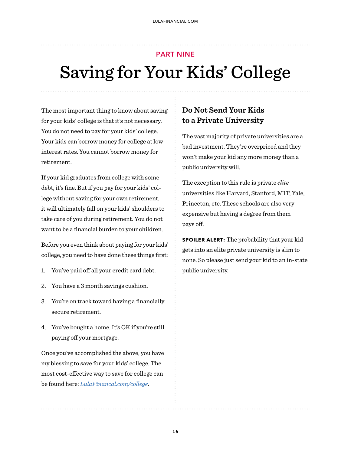# PART NINE Saving for Your Kids' College

The most important thing to know about saving for your kids' college is that it's not necessary. You do not need to pay for your kids' college. Your kids can borrow money for college at lowinterest rates. You cannot borrow money for retirement.

If your kid graduates from college with some debt, it's fine. But if you pay for your kids' college without saving for your own retirement, it will ultimately fall on your kids' shoulders to take care of you during retirement. You do not want to be a financial burden to your children.

Before you even think about paying for your kids' college, you need to have done these things first:

- 1. You've paid off all your credit card debt.
- 2. You have a 3 month savings cushion.
- 3. You're on track toward having a financially secure retirement.
- 4. You've bought a home. It's OK if you're still paying off your mortgage.

Once you've accomplished the above, you have my blessing to save for your kids' college. The most cost-effective way to save for college can be found here: *[LulaFinancal.com/college](https://www.lulafinancial.com/college)*.

## **Do Not Send Your Kids to a Private University**

The vast majority of private universities are a bad investment. They're overpriced and they won't make your kid any more money than a public university will.

The exception to this rule is private *elite* universities like Harvard, Stanford, MIT, Yale, Princeton, etc. These schools are also very expensive but having a degree from them pays off.

**SPOILER ALERT:** The probability that your kid gets into an elite private university is slim to none. So please just send your kid to an in-state public university.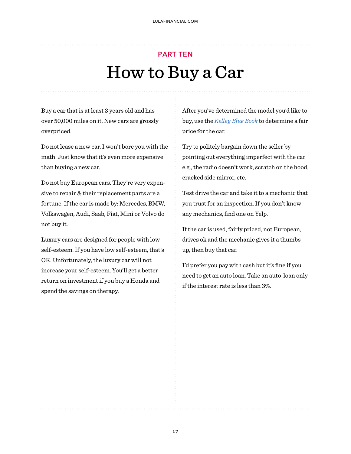# PART TEN How to Buy a Car

Buy a car that is at least 3 years old and has over 50,000 miles on it. New cars are grossly overpriced.

Do not lease a new car. I won't bore you with the math. Just know that it's even more expensive than buying a new car.

Do not buy European cars. They're very expensive to repair & their replacement parts are a fortune. If the car is made by: Mercedes, BMW, Volkswagen, Audi, Saab, Fiat, Mini or Volvo do not buy it.

Luxury cars are designed for people with low self-esteem. If you have low self-esteem, that's OK. Unfortunately, the luxury car will not increase your self-esteem. You'll get a better return on investment if you buy a Honda and spend the savings on therapy.

After you've determined the model you'd like to buy, use the *[Kelley Blue Book](https://www.kbb.com/)* to determine a fair price for the car.

Try to politely bargain down the seller by pointing out everything imperfect with the car e.g., the radio doesn't work, scratch on the hood, cracked side mirror, etc.

Test drive the car and take it to a mechanic that you trust for an inspection. If you don't know any mechanics, find one on Yelp.

If the car is used, fairly priced, not European, drives ok and the mechanic gives it a thumbs up, then buy that car.

I'd prefer you pay with cash but it's fine if you need to get an auto loan. Take an auto-loan only if the interest rate is less than 3%.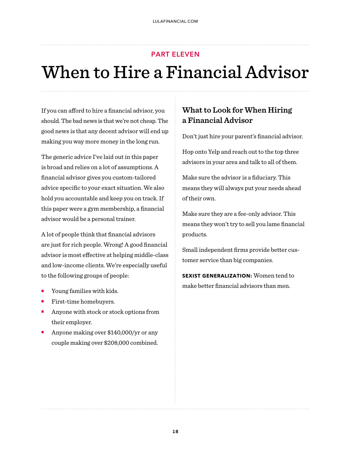#### PART ELEVEN

# When to Hire a Financial Advisor

If you can afford to hire a financial advisor, you should. The bad news is that we're not cheap. The good news is that any decent advisor will end up making you way more money in the long run.

The generic advice I've laid out in this paper is broad and relies on a lot of assumptions. A financial advisor gives you custom-tailored advice specific to your exact situation. We also hold you accountable and keep you on track. If this paper were a gym membership, a financial advisor would be a personal trainer.

A lot of people think that financial advisors are just for rich people. Wrong! A good financial advisor is most effective at helping middle-class and low-income clients. We're especially useful to the following groups of people:

- **•** Young families with kids.
- ! First-time homebuyers.
- ! Anyone with stock or stock options from their employer.
- Anyone making over \$140,000/yr or any couple making over \$208,000 combined.

## **What to Look for When Hiring a Financial Advisor**

Don't just hire your parent's financial advisor.

Hop onto Yelp and reach out to the top three advisors in your area and talk to all of them.

Make sure the advisor is a fiduciary. This means they will always put your needs ahead of their own.

Make sure they are a fee-only advisor. This means they won't try to sell you lame financial products.

Small independent firms provide better customer service than big companies.

**SEXIST GENERALIZATION:** Women tend to make better financial advisors than men.